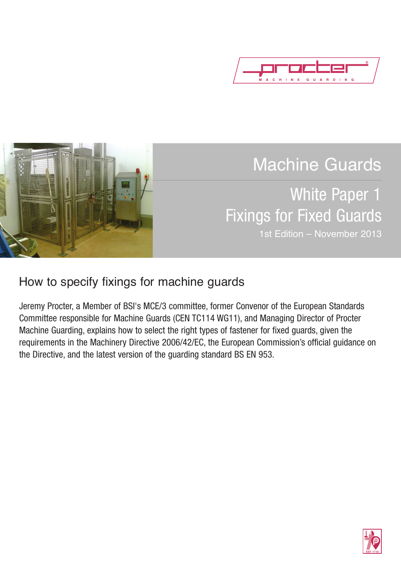



# Machine Guards

## White Paper 1 Fixings for Fixed Guards 1st Edition – November 2013

### How to specify fixings for machine guards

Jeremy Procter, a Member of BSI's MCE/3 committee, former Convenor of the European Standards Committee responsible for Machine Guards (CEN TC114 WG11), and Managing Director of Procter Machine Guarding, explains how to select the right types of fastener for fixed guards, given the requirements in the Machinery Directive 2006/42/EC, the European Commission's official guidance on the Directive, and the latest version of the guarding standard BS EN 953.

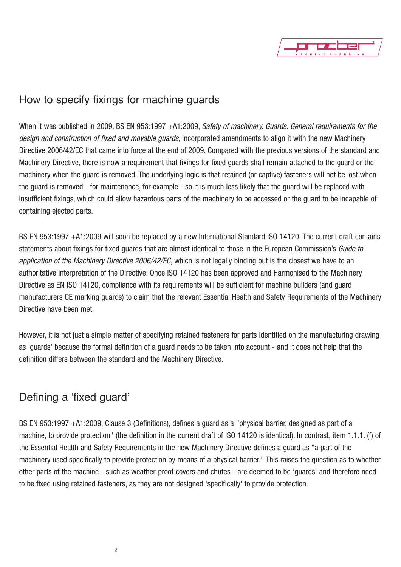

#### How to specify fixings for machine guards

When it was published in 2009, BS EN 953:1997 +A1:2009, *Safety of machinery. Guards. General requirements for the design and construction of fixed and movable guards*, incorporated amendments to align it with the new Machinery Directive 2006/42/EC that came into force at the end of 2009. Compared with the previous versions of the standard and Machinery Directive, there is now a requirement that fixings for fixed guards shall remain attached to the guard or the machinery when the guard is removed. The underlying logic is that retained (or captive) fasteners will not be lost when the guard is removed - for maintenance, for example - so it is much less likely that the guard will be replaced with insufficient fixings, which could allow hazardous parts of the machinery to be accessed or the guard to be incapable of containing ejected parts.

BS EN 953:1997 +A1:2009 will soon be replaced by a new International Standard ISO 14120. The current draft contains statements about fixings for fixed guards that are almost identical to those in the European Commission's *Guide to application of the Machinery Directive 2006/42/EC*, which is not legally binding but is the closest we have to an authoritative interpretation of the Directive. Once ISO 14120 has been approved and Harmonised to the Machinery Directive as EN ISO 14120, compliance with its requirements will be sufficient for machine builders (and guard manufacturers CE marking guards) to claim that the relevant Essential Health and Safety Requirements of the Machinery Directive have been met.

However, it is not just a simple matter of specifying retained fasteners for parts identified on the manufacturing drawing as 'guards' because the formal definition of a guard needs to be taken into account - and it does not help that the definition differs between the standard and the Machinery Directive.

#### Defining a 'fixed guard'

BS EN 953:1997 +A1:2009, Clause 3 (Definitions), defines a guard as a "physical barrier, designed as part of a machine, to provide protection" (the definition in the current draft of ISO 14120 is identical). In contrast, item 1.1.1. (f) of the Essential Health and Safety Requirements in the new Machinery Directive defines a guard as "a part of the machinery used specifically to provide protection by means of a physical barrier." This raises the question as to whether other parts of the machine - such as weather-proof covers and chutes - are deemed to be 'guards' and therefore need to be fixed using retained fasteners, as they are not designed 'specifically' to provide protection.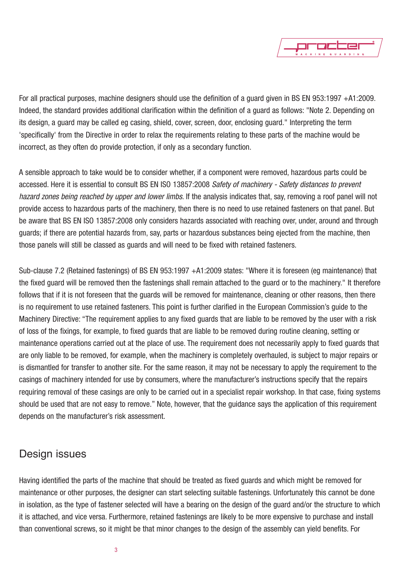

For all practical purposes, machine designers should use the definition of a guard given in BS EN 953:1997 +A1:2009. Indeed, the standard provides additional clarification within the definition of a guard as follows: "Note 2. Depending on its design, a guard may be called eg casing, shield, cover, screen, door, enclosing guard." Interpreting the term 'specifically' from the Directive in order to relax the requirements relating to these parts of the machine would be incorrect, as they often do provide protection, if only as a secondary function.

A sensible approach to take would be to consider whether, if a component were removed, hazardous parts could be accessed. Here it is essential to consult BS EN ISO 13857:2008 *Safety of machinery - Safety distances to prevent hazard zones being reached by upper and lower limbs*. If the analysis indicates that, say, removing a roof panel will not provide access to hazardous parts of the machinery, then there is no need to use retained fasteners on that panel. But be aware that BS EN ISO 13857:2008 only considers hazards associated with reaching over, under, around and through guards; if there are potential hazards from, say, parts or hazardous substances being ejected from the machine, then those panels will still be classed as guards and will need to be fixed with retained fasteners.

Sub-clause 7.2 (Retained fastenings) of BS EN 953:1997 +A1:2009 states: "Where it is foreseen (eg maintenance) that the fixed guard will be removed then the fastenings shall remain attached to the guard or to the machinery." It therefore follows that if it is not foreseen that the guards will be removed for maintenance, cleaning or other reasons, then there is no requirement to use retained fasteners. This point is further clarified in the European Commission's guide to the Machinery Directive: "The requirement applies to any fixed guards that are liable to be removed by the user with a risk of loss of the fixings, for example, to fixed guards that are liable to be removed during routine cleaning, setting or maintenance operations carried out at the place of use. The requirement does not necessarily apply to fixed guards that are only liable to be removed, for example, when the machinery is completely overhauled, is subject to major repairs or is dismantled for transfer to another site. For the same reason, it may not be necessary to apply the requirement to the casings of machinery intended for use by consumers, where the manufacturer's instructions specify that the repairs requiring removal of these casings are only to be carried out in a specialist repair workshop. In that case, fixing systems should be used that are not easy to remove." Note, however, that the guidance says the application of this requirement depends on the manufacturer's risk assessment.

#### Design issues

Having identified the parts of the machine that should be treated as fixed guards and which might be removed for maintenance or other purposes, the designer can start selecting suitable fastenings. Unfortunately this cannot be done in isolation, as the type of fastener selected will have a bearing on the design of the guard and/or the structure to which it is attached, and vice versa. Furthermore, retained fastenings are likely to be more expensive to purchase and install than conventional screws, so it might be that minor changes to the design of the assembly can yield benefits. For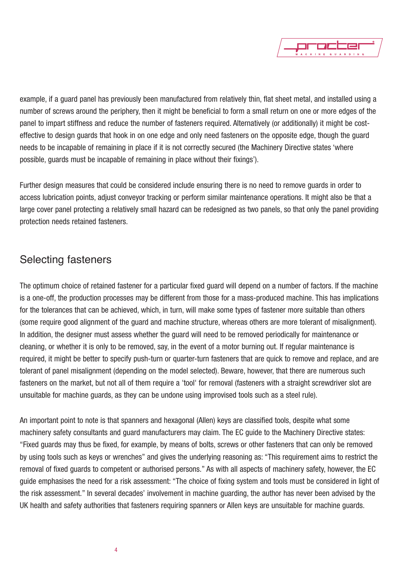

example, if a guard panel has previously been manufactured from relatively thin, flat sheet metal, and installed using a number of screws around the periphery, then it might be beneficial to form a small return on one or more edges of the panel to impart stiffness and reduce the number of fasteners required. Alternatively (or additionally) it might be costeffective to design guards that hook in on one edge and only need fasteners on the opposite edge, though the guard needs to be incapable of remaining in place if it is not correctly secured (the Machinery Directive states 'where possible, guards must be incapable of remaining in place without their fixings').

Further design measures that could be considered include ensuring there is no need to remove guards in order to access lubrication points, adjust conveyor tracking or perform similar maintenance operations. It might also be that a large cover panel protecting a relatively small hazard can be redesigned as two panels, so that only the panel providing protection needs retained fasteners.

#### Selecting fasteners

The optimum choice of retained fastener for a particular fixed guard will depend on a number of factors. If the machine is a one-off, the production processes may be different from those for a mass-produced machine. This has implications for the tolerances that can be achieved, which, in turn, will make some types of fastener more suitable than others (some require good alignment of the guard and machine structure, whereas others are more tolerant of misalignment). In addition, the designer must assess whether the guard will need to be removed periodically for maintenance or cleaning, or whether it is only to be removed, say, in the event of a motor burning out. If regular maintenance is required, it might be better to specify push-turn or quarter-turn fasteners that are quick to remove and replace, and are tolerant of panel misalignment (depending on the model selected). Beware, however, that there are numerous such fasteners on the market, but not all of them require a 'tool' for removal (fasteners with a straight screwdriver slot are unsuitable for machine guards, as they can be undone using improvised tools such as a steel rule).

An important point to note is that spanners and hexagonal (Allen) keys are classified tools, despite what some machinery safety consultants and guard manufacturers may claim. The EC guide to the Machinery Directive states: "Fixed guards may thus be fixed, for example, by means of bolts, screws or other fasteners that can only be removed by using tools such as keys or wrenches" and gives the underlying reasoning as: "This requirement aims to restrict the removal of fixed guards to competent or authorised persons." As with all aspects of machinery safety, however, the EC guide emphasises the need for a risk assessment: "The choice of fixing system and tools must be considered in light of the risk assessment." In several decades' involvement in machine guarding, the author has never been advised by the UK health and safety authorities that fasteners requiring spanners or Allen keys are unsuitable for machine guards.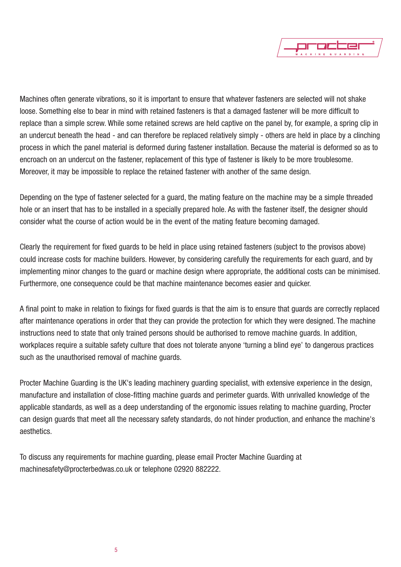

Machines often generate vibrations, so it is important to ensure that whatever fasteners are selected will not shake loose. Something else to bear in mind with retained fasteners is that a damaged fastener will be more difficult to replace than a simple screw. While some retained screws are held captive on the panel by, for example, a spring clip in an undercut beneath the head - and can therefore be replaced relatively simply - others are held in place by a clinching process in which the panel material is deformed during fastener installation. Because the material is deformed so as to encroach on an undercut on the fastener, replacement of this type of fastener is likely to be more troublesome. Moreover, it may be impossible to replace the retained fastener with another of the same design.

Depending on the type of fastener selected for a guard, the mating feature on the machine may be a simple threaded hole or an insert that has to be installed in a specially prepared hole. As with the fastener itself, the designer should consider what the course of action would be in the event of the mating feature becoming damaged.

Clearly the requirement for fixed guards to be held in place using retained fasteners (subject to the provisos above) could increase costs for machine builders. However, by considering carefully the requirements for each guard, and by implementing minor changes to the guard or machine design where appropriate, the additional costs can be minimised. Furthermore, one consequence could be that machine maintenance becomes easier and quicker.

A final point to make in relation to fixings for fixed guards is that the aim is to ensure that guards are correctly replaced after maintenance operations in order that they can provide the protection for which they were designed. The machine instructions need to state that only trained persons should be authorised to remove machine guards. In addition, workplaces require a suitable safety culture that does not tolerate anyone 'turning a blind eye' to dangerous practices such as the unauthorised removal of machine guards.

Procter Machine Guarding is the UK's leading machinery guarding specialist, with extensive experience in the design, manufacture and installation of close-fitting machine guards and perimeter guards. With unrivalled knowledge of the applicable standards, as well as a deep understanding of the ergonomic issues relating to machine guarding, Procter can design guards that meet all the necessary safety standards, do not hinder production, and enhance the machine's aesthetics.

To discuss any requirements for machine guarding, please email Procter Machine Guarding at machinesafety@procterbedwas.co.uk or telephone 02920 882222.